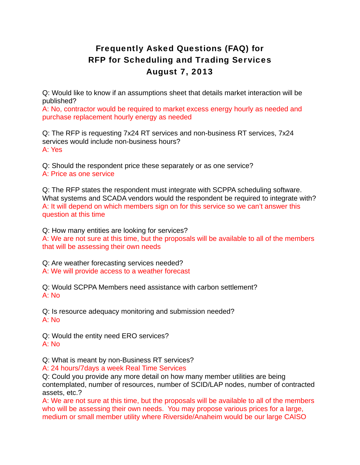## Frequently Asked Questions (FAQ) for RFP for Scheduling and Trading Services August 7, 2013

Q: Would like to know if an assumptions sheet that details market interaction will be published?

A: No, contractor would be required to market excess energy hourly as needed and purchase replacement hourly energy as needed

Q: The RFP is requesting 7x24 RT services and non-business RT services, 7x24 services would include non-business hours? A: Yes

Q: Should the respondent price these separately or as one service? A: Price as one service

Q: The RFP states the respondent must integrate with SCPPA scheduling software. What systems and SCADA vendors would the respondent be required to integrate with? A: It will depend on which members sign on for this service so we can't answer this question at this time

Q: How many entities are looking for services? A: We are not sure at this time, but the proposals will be available to all of the members that will be assessing their own needs

Q: Are weather forecasting services needed? A: We will provide access to a weather forecast

Q: Would SCPPA Members need assistance with carbon settlement?  $A: N<sub>0</sub>$ 

Q: Is resource adequacy monitoring and submission needed? A: No

Q: Would the entity need ERO services? A: No

Q: What is meant by non-Business RT services?

A: 24 hours/7days a week Real Time Services

Q: Could you provide any more detail on how many member utilities are being contemplated, number of resources, number of SCID/LAP nodes, number of contracted assets, etc.?

A: We are not sure at this time, but the proposals will be available to all of the members who will be assessing their own needs. You may propose various prices for a large, medium or small member utility where Riverside/Anaheim would be our large CAISO